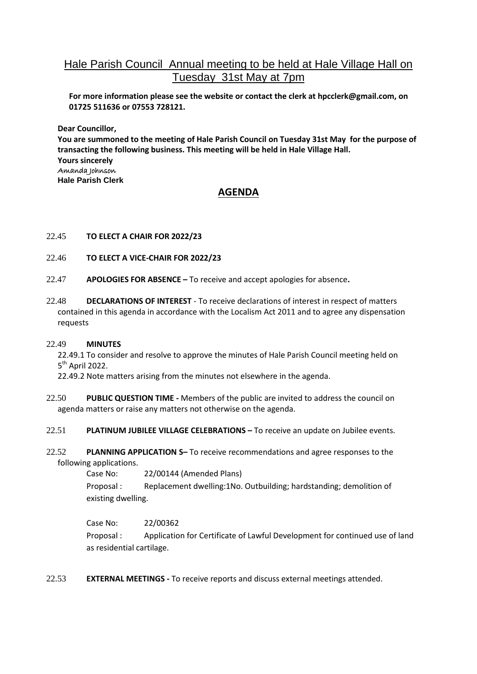# Hale Parish Council Annual meeting to be held at Hale Village Hall on Tuesday 31st May at 7pm

**For more information please see the website or contact the clerk at hpcclerk@gmail.com, on 01725 511636 or 07553 728121.**

**Dear Councillor,**

**You are summoned to the meeting of Hale Parish Council on Tuesday 31st May for the purpose of transacting the following business. This meeting will be held in Hale Village Hall. Yours sincerely** Amanda Johnson **Hale Parish Clerk**

## **AGENDA**

### 22.45 **TO ELECT A CHAIR FOR 2022/23**

- 22.46 **TO ELECT A VICE-CHAIR FOR 2022/23**
- 22.47 **APOLOGIES FOR ABSENCE –** To receive and accept apologies for absence**.**
- 22.48 **DECLARATIONS OF INTEREST** To receive declarations of interest in respect of matters contained in this agenda in accordance with the Localism Act 2011 and to agree any dispensation requests

#### 22.49 **MINUTES**

22.49.1 To consider and resolve to approve the minutes of Hale Parish Council meeting held on 5<sup>th</sup> April 2022.

22.49.2 Note matters arising from the minutes not elsewhere in the agenda.

- 22.50 **PUBLIC QUESTION TIME -** Members of the public are invited to address the council on agenda matters or raise any matters not otherwise on the agenda.
- 22.51 **PLATINUM JUBILEE VILLAGE CELEBRATIONS –** To receive an update on Jubilee events.
- 22.52 **PLANNING APPLICATION S–** To receive recommendations and agree responses to the following applications.

Case No: 22/00144 (Amended Plans)

Proposal : Replacement dwelling:1No. Outbuilding; hardstanding; demolition of existing dwelling.

Case No: 22/00362

Proposal : Application for Certificate of Lawful Development for continued use of land as residential cartilage.

22.53 **EXTERNAL MEETINGS -** To receive reports and discuss external meetings attended.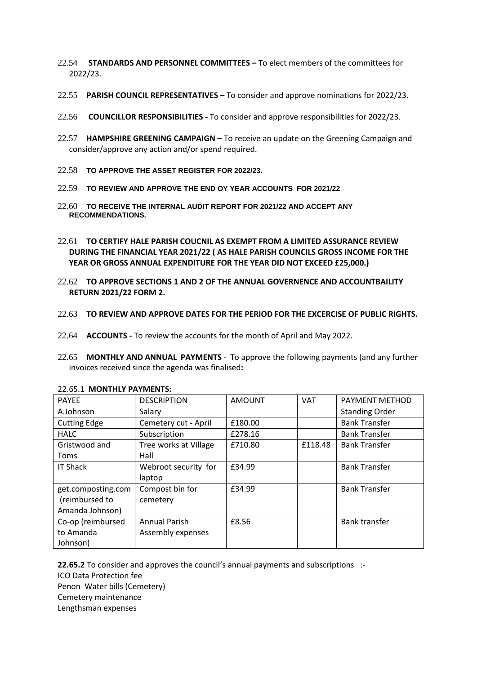- 22.54 **STANDARDS AND PERSONNEL COMMITTEES –** To elect members of the committees for 2022/23.
- 22.55 **PARISH COUNCIL REPRESENTATIVES –** To consider and approve nominations for 2022/23.
- 22.56 **COUNCILLOR RESPONSIBILITIES -** To consider and approve responsibilities for 2022/23.
- 22.57 **HAMPSHIRE GREENING CAMPAIGN –** To receive an update on the Greening Campaign and consider/approve any action and/or spend required.
- 22.58 **TO APPROVE THE ASSET REGISTER FOR 2022/23.**
- 22.59 **TO REVIEW AND APPROVE THE END OY YEAR ACCOUNTS FOR 2021/22**
- 22.60 **TO RECEIVE THE INTERNAL AUDIT REPORT FOR 2021/22 AND ACCEPT ANY RECOMMENDATIONS.**
- 22.61 **TO CERTIFY HALE PARISH COUCNIL AS EXEMPT FROM A LIMITED ASSURANCE REVIEW DURING THE FINANCIAL YEAR 2021/22 ( AS HALE PARISH COUNCILS GROSS INCOME FOR THE YEAR OR GROSS ANNUAL EXPENDITURE FOR THE YEAR DID NOT EXCEED £25,000.)**
- 22.62 **TO APPROVE SECTIONS 1 AND 2 OF THE ANNUAL GOVERNENCE AND ACCOUNTBAILITY RETURN 2021/22 FORM 2.**
- 22.63 **TO REVIEW AND APPROVE DATES FOR THE PERIOD FOR THE EXCERCISE OF PUBLIC RIGHTS.**
- 22.64 **ACCOUNTS -** To review the accounts for the month of April and May 2022.
- 22.65 **MONTHLY AND ANNUAL PAYMENTS** To approve the following payments (and any further invoices received since the agenda was finalised**:**

| <b>PAYEE</b>        | <b>DESCRIPTION</b>    | <b>AMOUNT</b> | <b>VAT</b> | PAYMENT METHOD        |
|---------------------|-----------------------|---------------|------------|-----------------------|
| A.Johnson           | Salary                |               |            | <b>Standing Order</b> |
| <b>Cutting Edge</b> | Cemetery cut - April  | £180.00       |            | <b>Bank Transfer</b>  |
| <b>HALC</b>         | Subscription          | £278.16       |            | <b>Bank Transfer</b>  |
| Gristwood and       | Tree works at Village | £710.80       | £118.48    | <b>Bank Transfer</b>  |
| Toms                | Hall                  |               |            |                       |
| <b>IT Shack</b>     | Webroot security for  | £34.99        |            | <b>Bank Transfer</b>  |
|                     | laptop                |               |            |                       |
| get.composting.com  | Compost bin for       | £34.99        |            | <b>Bank Transfer</b>  |
| (reimbursed to      | cemetery              |               |            |                       |
| Amanda Johnson)     |                       |               |            |                       |
| Co-op (reimbursed   | <b>Annual Parish</b>  | £8.56         |            | <b>Bank transfer</b>  |
| to Amanda           | Assembly expenses     |               |            |                       |
| Johnson)            |                       |               |            |                       |

#### 22.65.1 **MONTHLY PAYMENTS:**

**22.65.2** To consider and approves the council's annual payments and subscriptions :- ICO Data Protection fee Penon Water bills (Cemetery) Cemetery maintenance Lengthsman expenses